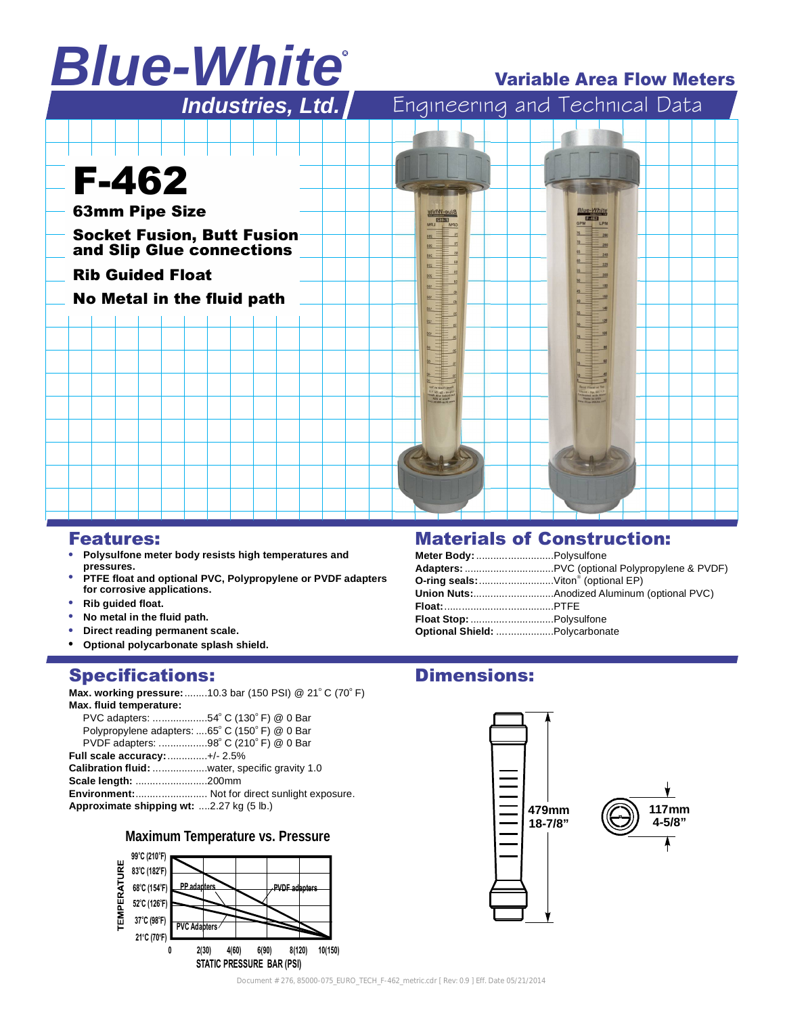# *Blue-White*

## **Variable Area Flow Meters**



## **Features:**

- **Polysulfone meter body resists high temperatures and pressures.**
- **PTFE float and optional PVC, Polypropylene or PVDF adapters for corrosive applications.**
- **Rib guided float.**
- **No metal in the fluid path.**
- **Direct reading permanent scale.**
- **Optional polycarbonate splash shield.**

## **Specifications:**

**Max. working pressure:**........10.3 bar (150 PSI) @ 21°C (70°F)

| Max. fluid temperature:                        |                                                       |
|------------------------------------------------|-------------------------------------------------------|
| PVC adapters: 54° C (130° F) @ 0 Bar           |                                                       |
| Polypropylene adapters: 65° C (150° F) @ 0 Bar |                                                       |
| PVDF adapters: 98° C (210° F) @ 0 Bar          |                                                       |
| Full scale accuracy: +/- 2.5%                  |                                                       |
| Calibration fluid: water, specific gravity 1.0 |                                                       |
| Scale length: 200mm                            |                                                       |
|                                                | <b>Environment:</b> Not for direct sunlight exposure. |
| Approximate shipping wt: 2.27 kg (5 lb.)       |                                                       |
|                                                |                                                       |

### **Maximum Temperature vs. Pressure**



## **Materials of Construction:**

| Meter Body: Polysulfone            |  |
|------------------------------------|--|
|                                    |  |
| O-ring seals: Viton® (optional EP) |  |
|                                    |  |
|                                    |  |
|                                    |  |
| Optional Shield:  Polycarbonate    |  |

# **Dimensions:**